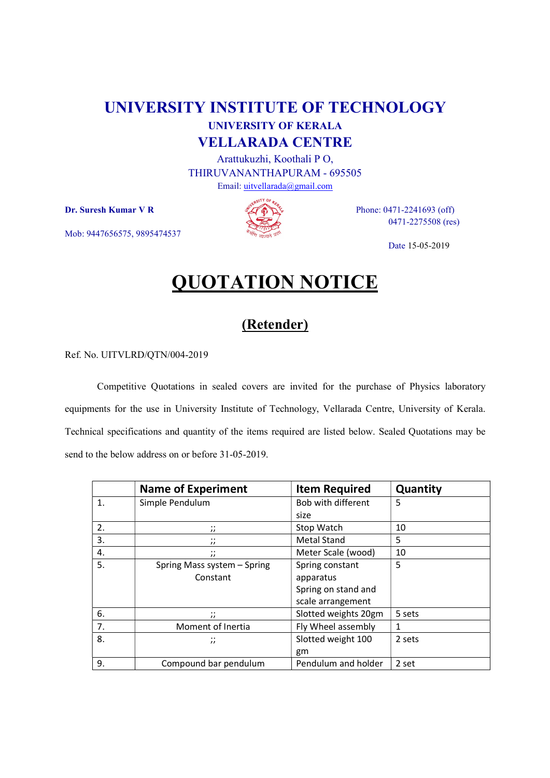## UNIVERSITY INSTITUTE OF TECHNOLOGY UNIVERSITY OF KERALA VELLARADA CENTRE

Arattukuzhi, Koothali P O, THIRUVANANTHAPURAM - 695505 Email: uitvellarada@gmail.com

Mob: 9447656575, 9895474537



 $\mathbf{D}$ r. Suresh Kumar V R  $\mathscr{A}(\mathbf{D})$  Phone: 0471-2241693 (off) 0471-2275508 (res)

Date 15-05-2019

## QUOTATION NOTICE

## (Retender)

Ref. No. UITVLRD/QTN/004-2019

Competitive Quotations in sealed covers are invited for the purchase of Physics laboratory equipments for the use in University Institute of Technology, Vellarada Centre, University of Kerala. Technical specifications and quantity of the items required are listed below. Sealed Quotations may be send to the below address on or before 31-05-2019.

|              | <b>Name of Experiment</b>             | <b>Item Required</b> | <b>Quantity</b> |
|--------------|---------------------------------------|----------------------|-----------------|
| $\mathbf{1}$ | Simple Pendulum                       | Bob with different   | 5               |
|              |                                       | size                 |                 |
| 2.           | $\cdot$ .<br>$^{\prime}$              | Stop Watch           | 10              |
| 3.           | $\cdot$ .<br>$^{\prime}$              | <b>Metal Stand</b>   | 5.              |
| 4.           | $\cdot$ .<br>$\overline{\phantom{a}}$ | Meter Scale (wood)   | 10              |
| 5.           | Spring Mass system - Spring           | Spring constant      | 5               |
|              | Constant                              | apparatus            |                 |
|              |                                       | Spring on stand and  |                 |
|              |                                       | scale arrangement    |                 |
| 6.           | $\cdot$ .<br>$^{\prime}$              | Slotted weights 20gm | 5 sets          |
| 7.           | Moment of Inertia                     | Fly Wheel assembly   | 1               |
| 8.           | $\dddot{ }$                           | Slotted weight 100   | 2 sets          |
|              |                                       | gm                   |                 |
| 9.           | Compound bar pendulum                 | Pendulum and holder  | 2 set           |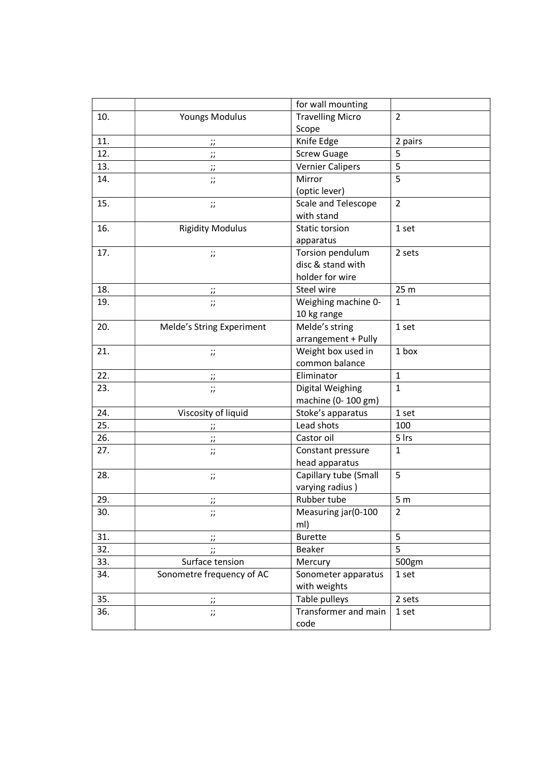|     |                                     | for wall mounting       |                |
|-----|-------------------------------------|-------------------------|----------------|
| 10. | Youngs Modulus                      | <b>Travelling Micro</b> | $\overline{2}$ |
|     |                                     | Scope                   |                |
| 11. | $\prime$                            | Knife Edge              | 2 pairs        |
| 12. | $\ddot{\phantom{a}}$<br>$^{\prime}$ | <b>Screw Guage</b>      | 5              |
| 13. | $\ddot{ }$                          | <b>Vernier Calipers</b> | 5              |
| 14. | $\dddot{ }$                         | Mirror                  | 5              |
|     |                                     | (optic lever)           |                |
| 15. | $\ddot{ }$                          | Scale and Telescope     | $\overline{2}$ |
|     |                                     | with stand              |                |
| 16. | <b>Rigidity Modulus</b>             | Static torsion          | 1 set          |
|     |                                     | apparatus               |                |
| 17. | $\dddot{ }$                         | Torsion pendulum        | 2 sets         |
|     |                                     | disc & stand with       |                |
|     |                                     | holder for wire         |                |
| 18. | Ω,<br>$^{\prime\prime}$             | Steel wire              | 25 m           |
| 19. | $\vdots$                            | Weighing machine 0-     | $\mathbf{1}$   |
|     |                                     | 10 kg range             |                |
| 20. | Melde's String Experiment           | Melde's string          | 1 set          |
|     |                                     | arrangement + Pully     |                |
| 21. | $\dddot{ }$                         | Weight box used in      | 1 box          |
|     |                                     | common balance          |                |
| 22. | $\dddot{a}$                         | Eliminator              | $\mathbf{1}$   |
| 23. | $\dddot{ }$                         | Digital Weighing        | $\mathbf{1}$   |
|     |                                     | machine (0-100 gm)      |                |
| 24. | Viscosity of liquid                 | Stoke's apparatus       | 1 set          |
| 25. | $\ddot{ }$                          | Lead shots              | 100            |
| 26. | $\dddot{a}$                         | Castor oil              | 5 Irs          |
| 27. | $\dddot{ }$                         | Constant pressure       | $\mathbf{1}$   |
|     |                                     | head apparatus          |                |
| 28. | $\dddot{ }$                         | Capillary tube (Small   | 5              |
|     |                                     | varying radius)         |                |
| 29. | $\cdot$ .<br>$^{\prime\prime}$      | Rubber tube             | 5 <sub>m</sub> |
| 30. | $^{\prime\prime}$                   | Measuring jar(0-100     | $\overline{2}$ |
|     |                                     | ml)                     |                |
| 31. | $\dddot{a}$                         | <b>Burette</b>          | 5              |
| 32. | $\ddot{\phantom{0}}$                | Beaker                  | 5              |
| 33. | Surface tension                     | Mercury                 | 500gm          |
| 34. | Sonometre frequency of AC           | Sonometer apparatus     | 1 set          |
|     |                                     | with weights            |                |
| 35. | $\ddot{ }$                          | Table pulleys           | 2 sets         |
| 36. | $\ddot{ }$                          | Transformer and main    | 1 set          |
|     |                                     | code                    |                |